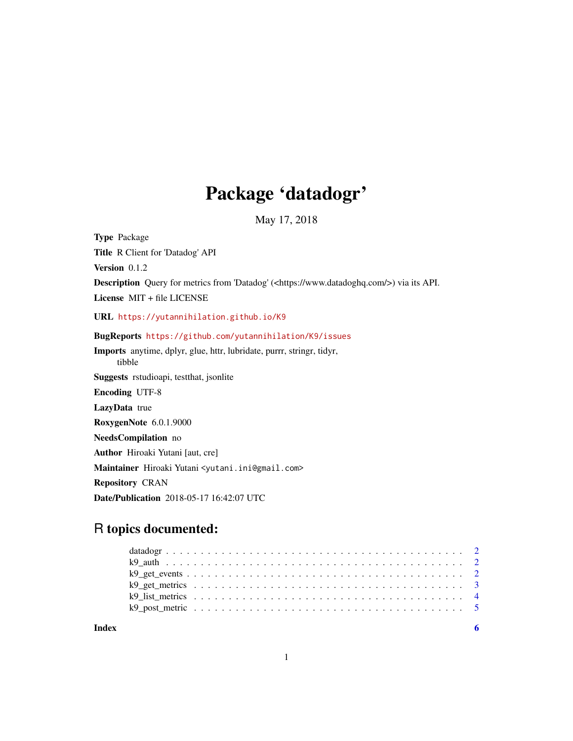## Package 'datadogr'

May 17, 2018

<span id="page-0-0"></span>Type Package Title R Client for 'Datadog' API Version 0.1.2 Description Query for metrics from 'Datadog' (<https://www.datadoghq.com/>) via its API. License MIT + file LICENSE URL <https://yutannihilation.github.io/K9> BugReports <https://github.com/yutannihilation/K9/issues> Imports anytime, dplyr, glue, httr, lubridate, purrr, stringr, tidyr, tibble Suggests rstudioapi, testthat, jsonlite Encoding UTF-8 LazyData true RoxygenNote 6.0.1.9000 NeedsCompilation no Author Hiroaki Yutani [aut, cre] Maintainer Hiroaki Yutani <yutani.ini@gmail.com> Repository CRAN Date/Publication 2018-05-17 16:42:07 UTC

### R topics documented:

**Index** [6](#page-5-0) **6**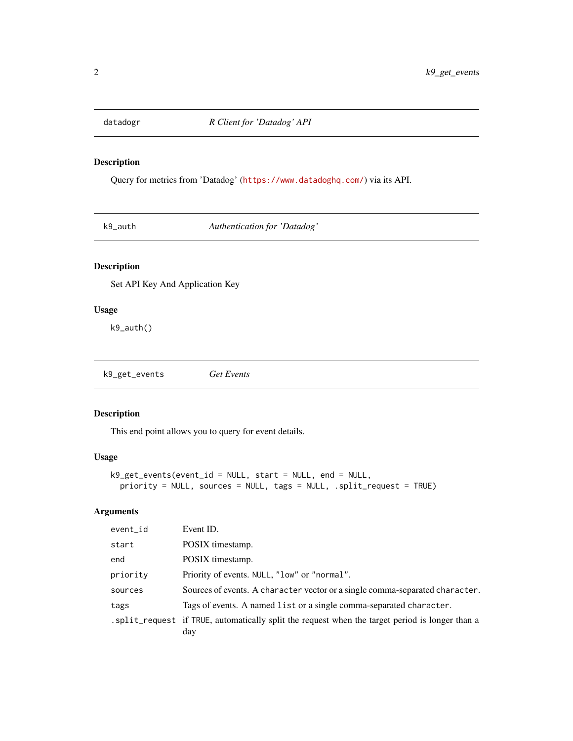<span id="page-1-0"></span>

#### Description

Query for metrics from 'Datadog' (<https://www.datadoghq.com/>) via its API.

k9\_auth *Authentication for 'Datadog'*

#### Description

Set API Key And Application Key

#### Usage

k9\_auth()

k9\_get\_events *Get Events*

#### Description

This end point allows you to query for event details.

#### Usage

```
k9_get_events(event_id = NULL, start = NULL, end = NULL,
 priority = NULL, sources = NULL, tags = NULL, .split_request = TRUE)
```
#### Arguments

| event_id | Event ID.                                                                                             |
|----------|-------------------------------------------------------------------------------------------------------|
| start    | POSIX timestamp.                                                                                      |
| end      | POSIX timestamp.                                                                                      |
| priority | Priority of events. NULL, "low" or "normal".                                                          |
| sources  | Sources of events. A character vector or a single comma-separated character.                          |
| tags     | Tags of events. A named list or a single comma-separated character.                                   |
|          | split_request if TRUE, automatically split the request when the target period is longer than a<br>day |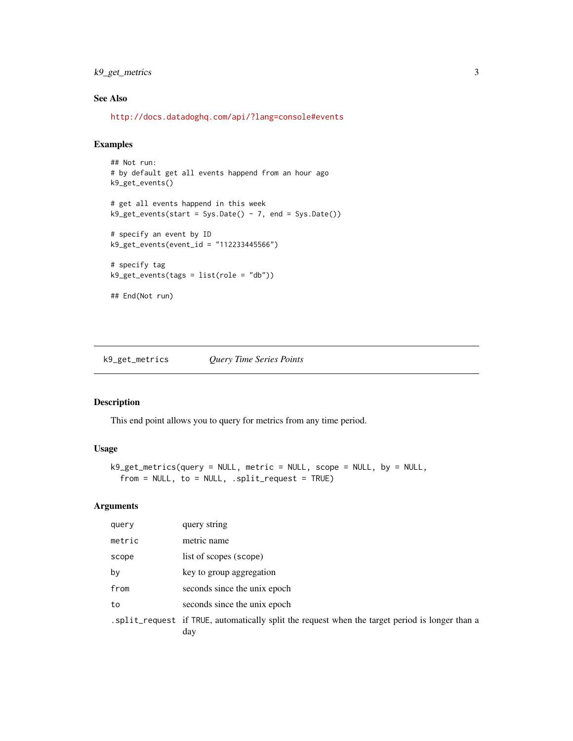#### <span id="page-2-0"></span>k9\_get\_metrics 3

#### See Also

<http://docs.datadoghq.com/api/?lang=console#events>

#### Examples

```
## Not run:
# by default get all events happend from an hour ago
k9_get_events()
# get all events happend in this week
k9\_get\_events(start = Sys.Date() - 7, end = Sys.Date())# specify an event by ID
k9_get_events(event_id = "112233445566")
# specify tag
k9_get_events(tags = list(role = "db"))
## End(Not run)
```
k9\_get\_metrics *Query Time Series Points*

#### Description

This end point allows you to query for metrics from any time period.

#### Usage

```
k9_get_metrics(query = NULL, metric = NULL, scope = NULL, by = NULL,
  from = NULL, to = NULL, .split\_request = TRUE)
```
#### Arguments

| query  | query string                                                                                            |
|--------|---------------------------------------------------------------------------------------------------------|
| metric | metric name                                                                                             |
| scope  | list of scopes (scope)                                                                                  |
| by     | key to group aggregation                                                                                |
| from   | seconds since the unix epoch                                                                            |
| to     | seconds since the unix epoch                                                                            |
|        | . split_request if TRUE, automatically split the request when the target period is longer than a<br>day |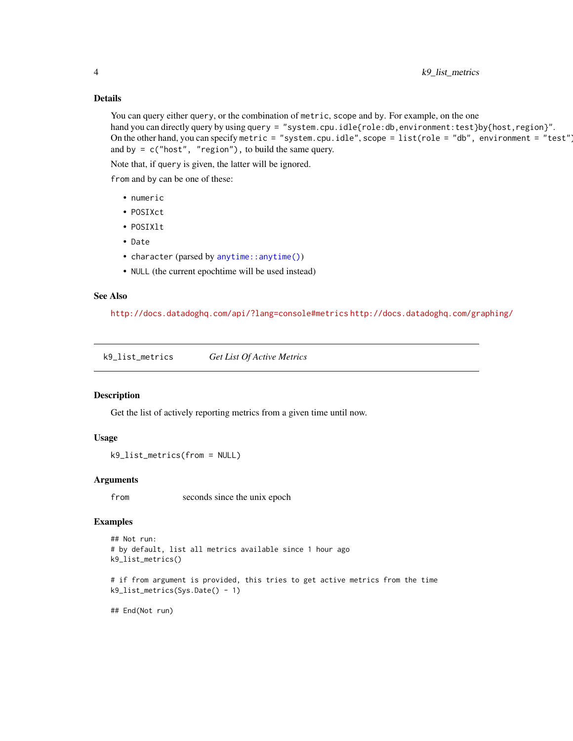#### Details

You can query either query, or the combination of metric, scope and by. For example, on the one hand you can directly query by using query = "system.cpu.idle{role:db,environment:test}by{host,region}". On the other hand, you can specify metric = "system.cpu.idle", scope = list(role = "db", environment = "test") and by =  $c("host", "region"),$  to build the same query.

Note that, if query is given, the latter will be ignored.

from and by can be one of these:

- numeric
- POSIXct
- POSIXlt
- Date
- character (parsed by [anytime::anytime\(\)](#page-0-0))
- NULL (the current epochtime will be used instead)

#### See Also

<http://docs.datadoghq.com/api/?lang=console#metrics> <http://docs.datadoghq.com/graphing/>

k9\_list\_metrics *Get List Of Active Metrics*

#### Description

Get the list of actively reporting metrics from a given time until now.

#### Usage

```
k9_list_metrics(from = NULL)
```
#### Arguments

from seconds since the unix epoch

#### Examples

```
## Not run:
# by default, list all metrics available since 1 hour ago
k9_list_metrics()
# if from argument is provided, this tries to get active metrics from the time
k9_list_metrics(Sys.Date() - 1)
```
## End(Not run)

<span id="page-3-0"></span>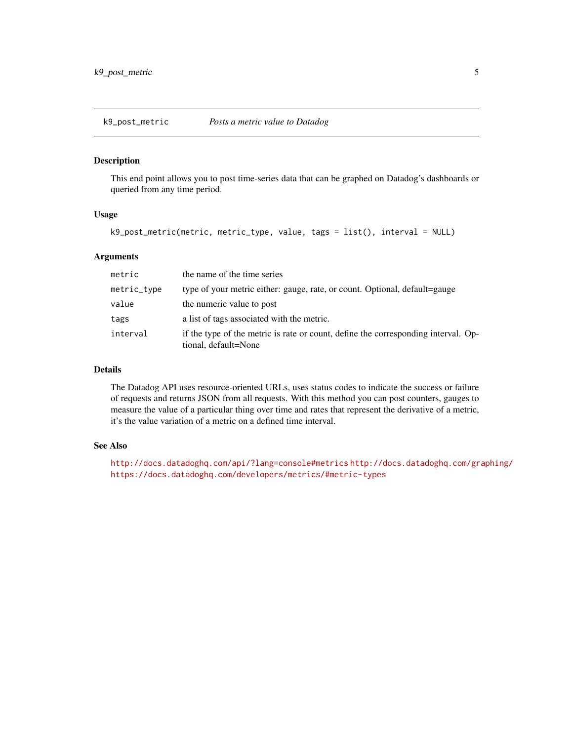<span id="page-4-0"></span>k9\_post\_metric *Posts a metric value to Datadog*

#### Description

This end point allows you to post time-series data that can be graphed on Datadog's dashboards or queried from any time period.

#### Usage

```
k9_post_metric(metric, metric_type, value, tags = list(), interval = NULL)
```
#### Arguments

| metric      | the name of the time series                                                                                |
|-------------|------------------------------------------------------------------------------------------------------------|
| metric_type | type of your metric either: gauge, rate, or count. Optional, default=gauge                                 |
| value       | the numeric value to post                                                                                  |
| tags        | a list of tags associated with the metric.                                                                 |
| interval    | if the type of the metric is rate or count, define the corresponding interval. Op-<br>tional, default=None |

#### Details

The Datadog API uses resource-oriented URLs, uses status codes to indicate the success or failure of requests and returns JSON from all requests. With this method you can post counters, gauges to measure the value of a particular thing over time and rates that represent the derivative of a metric, it's the value variation of a metric on a defined time interval.

#### See Also

<http://docs.datadoghq.com/api/?lang=console#metrics> <http://docs.datadoghq.com/graphing/> <https://docs.datadoghq.com/developers/metrics/#metric-types>